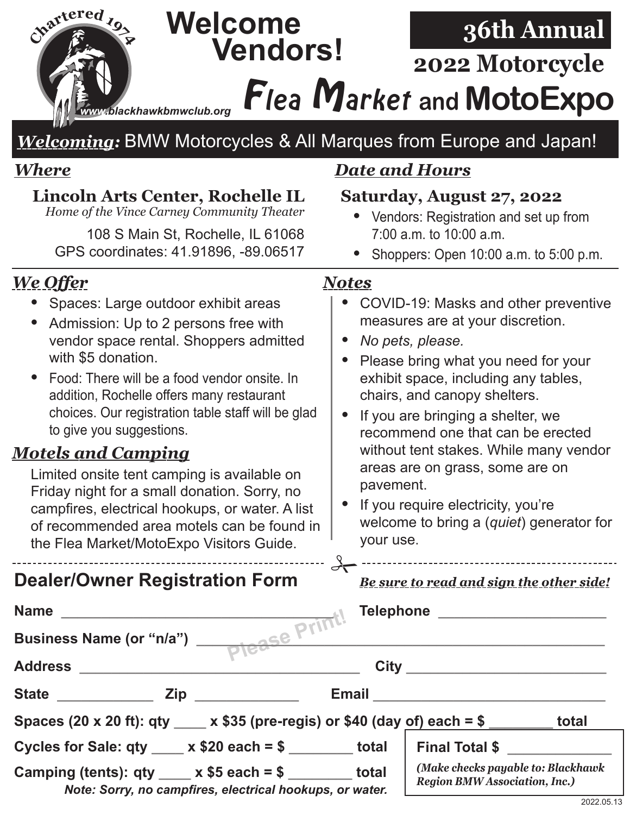## **<sup>C</sup>hartere<sup>d</sup> <sup>1</sup>97<sup>4</sup> Welcome 36th Annual Vendors! 2022 Motorcycle** Flea Market **and MotoExpo** *www.blackhawkbmwclub.org Welcoming:* BMW Motorcycles & All Marques from Europe and Japan! *Where Date and Hours* **Lincoln Arts Center, Rochelle IL Saturday, August 27, 2022** *Home of the Vince Carney Community Theater •* Vendors: Registration and set up from 108 S Main St, Rochelle, IL 61068 7:00 a.m. to 10:00 a.m. GPS coordinates: 41.91896, -89.06517 *•* Shoppers: Open 10:00 a.m. to 5:00 p.m.*We Offer Notes •* Spaces: Large outdoor exhibit areas *•* COVID-19: Masks and other preventive measures are at your discretion. *•* Admission: Up to 2 persons free with vendor space rental. Shoppers admitted *• No pets, please.* with \$5 donation. *•* Please bring what you need for your exhibit space, including any tables, *•* Food: There will be a food vendor onsite. In addition, Rochelle offers many restaurant chairs, and canopy shelters. choices. Our registration table staff will be glad *•* If you are bringing a shelter, we to give you suggestions. recommend one that can be erected without tent stakes. While many vendor *Motels and Camping* areas are on grass, some are on Limited onsite tent camping is available on pavement. Friday night for a small donation. Sorry, no *•* If you require electricity, you're campfires, electrical hookups, or water. A list welcome to bring a (*quiet*) generator for of recommended area motels can be found in your use. the Flea Market/MotoExpo Visitors Guide.  $\sum_{\text{Be sure to read and sign the other side!}}$ **Dealer/Owner Registration Form Please Print! Name \_\_\_\_\_\_\_\_\_\_\_\_\_\_\_\_\_\_\_\_\_\_\_\_\_\_\_\_\_\_\_\_\_\_ Telephone \_\_\_\_\_\_\_\_\_\_\_\_\_\_\_\_\_\_\_\_\_ Business Name (or "n/a") \_\_\_\_\_\_\_\_\_\_\_\_\_\_\_\_\_\_\_\_\_\_\_\_\_\_\_\_\_\_\_\_\_\_\_\_\_\_\_\_\_\_\_\_\_\_\_\_\_\_\_ Address \_\_\_\_\_\_\_\_\_\_\_\_\_\_\_\_\_\_\_\_\_\_\_\_\_\_\_\_\_\_\_\_\_\_\_ City \_\_\_\_\_\_\_\_\_\_\_\_\_\_\_\_\_\_\_\_\_\_\_\_\_ State \_\_\_\_\_\_\_\_\_\_\_\_ Zip \_\_\_\_\_\_\_\_\_\_\_\_\_ Email \_\_\_\_\_\_\_\_\_\_\_\_\_\_\_\_\_\_\_\_\_\_\_\_\_\_\_\_\_ Spaces (20 x 20 ft): qty \_\_\_\_ x \$35 (pre-regis) or \$40 (day of) each = \$ \_\_\_\_\_\_\_\_ total Cycles for Sale: qty \_\_\_\_ x \$20 each = \$ \_\_\_\_\_\_\_\_ total Final Total \$ \_\_\_\_\_\_\_\_\_\_\_\_\_** *(Make checks payable to: Blackhawk*  **Camping (tents): qty \_\_\_\_ x \$5 each = \$ \_\_\_\_\_\_\_\_ total** *Region BMW Association, Inc.) Note: Sorry, no campfires, electrical hookups, or water.*